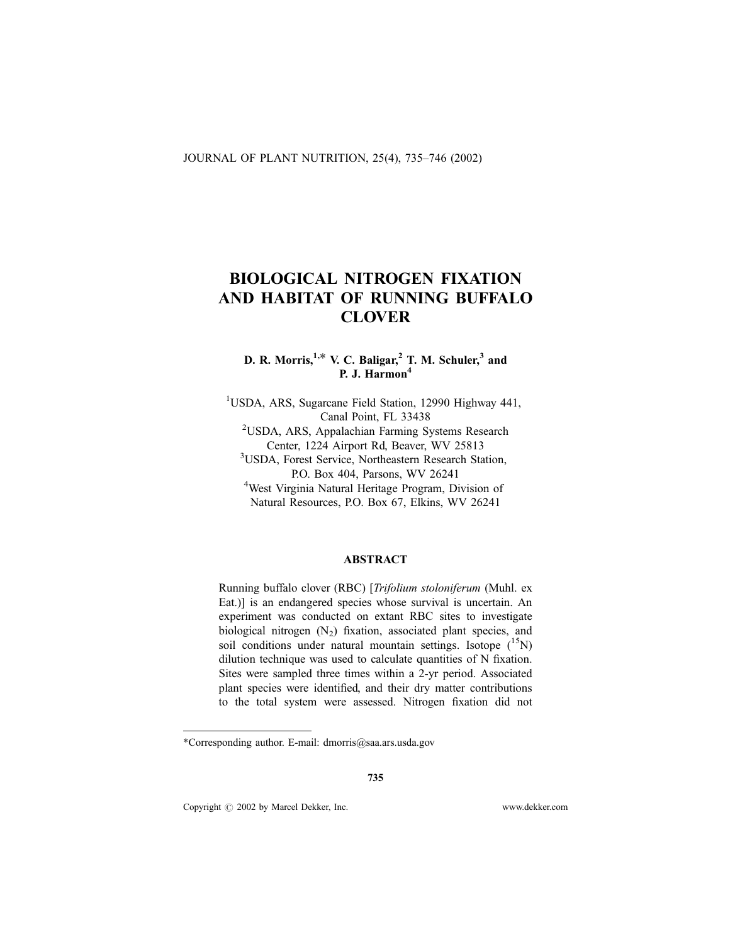# BIOLOGICAL NITROGEN FIXATION AND HABITAT OF RUNNING BUFFALO **CLOVER**

D. R. Morris,  $1, *$  V. C. Baligar,  $2$  T. M. Schuler,  $3$  and P. J. Harmon<sup>4</sup>

<sup>1</sup>USDA, ARS, Sugarcane Field Station, 12990 Highway 441, Canal Point, FL 33438<br><sup>2</sup>USDA, ARS, Appalachian Farming Systems Research Center, 1224 Airport Rd, Beaver, WV 25813 3 USDA, Forest Service, Northeastern Research Station, P.O. Box 404, Parsons, WV 26241 West Virginia Natural Heritage Program, Division of Natural Resources, P.O. Box 67, Elkins, WV 26241

## ABSTRACT

Running buffalo clover (RBC) [Trifolium stoloniferum (Muhl. ex Eat.)] is an endangered species whose survival is uncertain. An experiment was conducted on extant RBC sites to investigate biological nitrogen  $(N_2)$  fixation, associated plant species, and soil conditions under natural mountain settings. Isotope  $(^{15}N)$ dilution technique was used to calculate quantities of N fixation. Sites were sampled three times within a 2-yr period. Associated plant species were identified, and their dry matter contributions to the total system were assessed. Nitrogen fixation did not

<sup>\*</sup>Corresponding author. E-mail: dmorris@saa.ars.usda.gov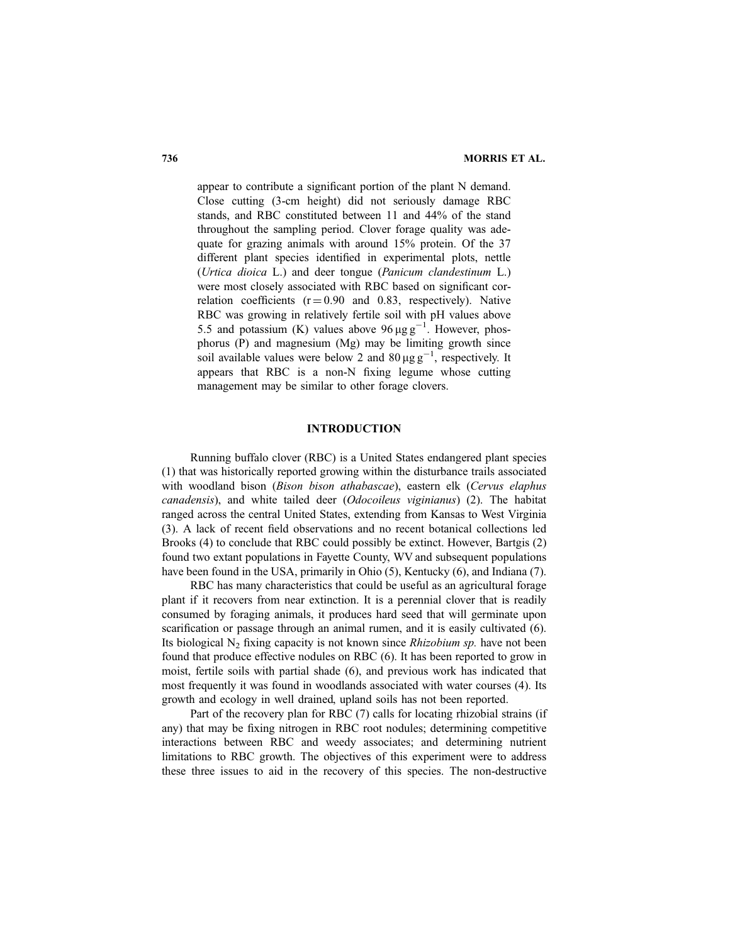appear to contribute a significant portion of the plant N demand. Close cutting (3-cm height) did not seriously damage RBC stands, and RBC constituted between 11 and 44% of the stand throughout the sampling period. Clover forage quality was adequate for grazing animals with around 15% protein. Of the 37 different plant species identified in experimental plots, nettle (Urtica dioica L.) and deer tongue (Panicum clandestinum L.) were most closely associated with RBC based on significant correlation coefficients  $(r = 0.90$  and 0.83, respectively). Native RBC was growing in relatively fertile soil with pH values above 5.5 and potassium (K) values above  $96 \mu g g^{-1}$ . However, phosphorus (P) and magnesium (Mg) may be limiting growth since soil available values were below 2 and  $80 \mu g g^{-1}$ , respectively. It appears that RBC is a non-N fixing legume whose cutting management may be similar to other forage clovers.

### INTRODUCTION

Running buffalo clover (RBC) is a United States endangered plant species (1) that was historically reported growing within the disturbance trails associated with woodland bison (Bison bison athabascae), eastern elk (Cervus elaphus canadensis), and white tailed deer (Odocoileus viginianus) (2). The habitat ranged across the central United States, extending from Kansas to West Virginia (3). A lack of recent field observations and no recent botanical collections led Brooks (4) to conclude that RBC could possibly be extinct. However, Bartgis (2) found two extant populations in Fayette County, WV and subsequent populations have been found in the USA, primarily in Ohio (5), Kentucky (6), and Indiana (7).

RBC has many characteristics that could be useful as an agricultural forage plant if it recovers from near extinction. It is a perennial clover that is readily consumed by foraging animals, it produces hard seed that will germinate upon scarification or passage through an animal rumen, and it is easily cultivated (6). Its biological  $N_2$  fixing capacity is not known since *Rhizobium sp.* have not been found that produce effective nodules on RBC (6). It has been reported to grow in moist, fertile soils with partial shade (6), and previous work has indicated that most frequently it was found in woodlands associated with water courses (4). Its growth and ecology in well drained, upland soils has not been reported.

Part of the recovery plan for RBC (7) calls for locating rhizobial strains (if any) that may be fixing nitrogen in RBC root nodules; determining competitive interactions between RBC and weedy associates; and determining nutrient limitations to RBC growth. The objectives of this experiment were to address these three issues to aid in the recovery of this species. The non-destructive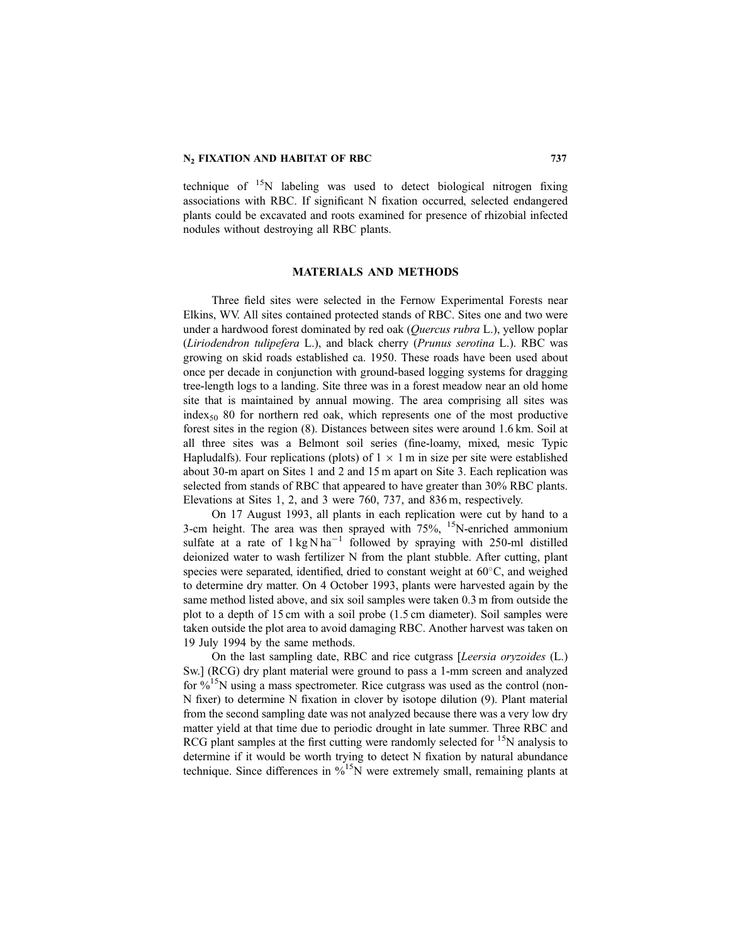#### N<sub>2</sub> FIXATION AND HABITAT OF RBC 737

technique of  $15N$  labeling was used to detect biological nitrogen fixing associations with RBC. If significant N fixation occurred, selected endangered plants could be excavated and roots examined for presence of rhizobial infected nodules without destroying all RBC plants.

#### MATERIALS AND METHODS

Three field sites were selected in the Fernow Experimental Forests near Elkins, WV. All sites contained protected stands of RBC. Sites one and two were under a hardwood forest dominated by red oak (*Quercus rubra* L.), yellow poplar (Liriodendron tulipefera L.), and black cherry (Prunus serotina L.). RBC was growing on skid roads established ca. 1950. These roads have been used about once per decade in conjunction with ground-based logging systems for dragging tree-length logs to a landing. Site three was in a forest meadow near an old home site that is maintained by annual mowing. The area comprising all sites was index<sub>50</sub> 80 for northern red oak, which represents one of the most productive forest sites in the region (8). Distances between sites were around 1.6 km. Soil at all three sites was a Belmont soil series (fine-loamy, mixed, mesic Typic Hapludalfs). Four replications (plots) of  $1 \times 1$  m in size per site were established about 30-m apart on Sites 1 and 2 and 15 m apart on Site 3. Each replication was selected from stands of RBC that appeared to have greater than 30% RBC plants. Elevations at Sites 1, 2, and 3 were 760, 737, and 836 m, respectively.

On 17 August 1993, all plants in each replication were cut by hand to a 3-cm height. The area was then sprayed with 75%, <sup>15</sup>N-enriched ammonium sulfate at a rate of  $1 \text{ kg} \text{ N} \text{ ha}^{-1}$  followed by spraying with 250-ml distilled deionized water to wash fertilizer N from the plant stubble. After cutting, plant species were separated, identified, dried to constant weight at  $60^{\circ}$ C, and weighed to determine dry matter. On 4 October 1993, plants were harvested again by the same method listed above, and six soil samples were taken 0.3 m from outside the plot to a depth of 15 cm with a soil probe (1.5 cm diameter). Soil samples were taken outside the plot area to avoid damaging RBC. Another harvest was taken on 19 July 1994 by the same methods.

On the last sampling date, RBC and rice cutgrass [Leersia oryzoides (L.) Sw.] (RCG) dry plant material were ground to pass a 1-mm screen and analyzed for  $\%$ <sup>15</sup>N using a mass spectrometer. Rice cutgrass was used as the control (non-N fixer) to determine N fixation in clover by isotope dilution (9). Plant material from the second sampling date was not analyzed because there was a very low dry matter yield at that time due to periodic drought in late summer. Three RBC and RCG plant samples at the first cutting were randomly selected for  $\mathrm{^{15}N}$  analysis to determine if it would be worth trying to detect N fixation by natural abundance technique. Since differences in  $\frac{9}{6}$ <sup>15</sup>N were extremely small, remaining plants at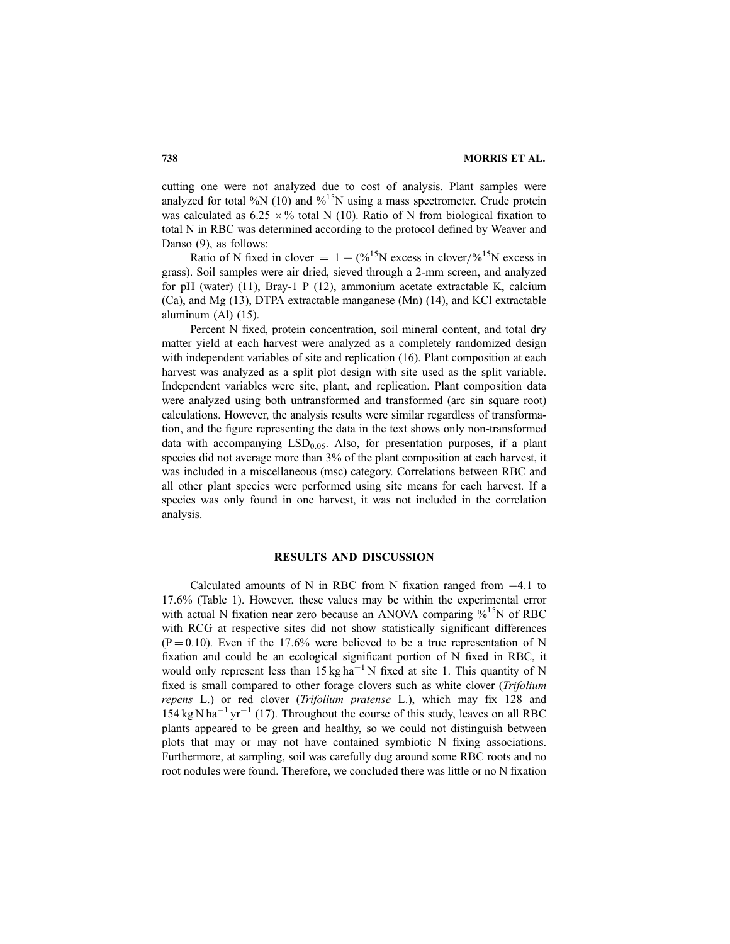cutting one were not analyzed due to cost of analysis. Plant samples were analyzed for total %N (10) and %<sup>15</sup>N using a mass spectrometer. Crude protein was calculated as  $6.25 \times \%$  total N (10). Ratio of N from biological fixation to total N in RBC was determined according to the protocol defined by Weaver and Danso (9), as follows:

Ratio of N fixed in clover  $= 1 - (\frac{9}{6})^5$ N excess in clover/%<sup>15</sup>N excess in grass). Soil samples were air dried, sieved through a 2-mm screen, and analyzed for pH (water) (11), Bray-1 P (12), ammonium acetate extractable K, calcium (Ca), and Mg (13), DTPA extractable manganese (Mn) (14), and KCl extractable aluminum (Al) (15).

Percent N fixed, protein concentration, soil mineral content, and total dry matter yield at each harvest were analyzed as a completely randomized design with independent variables of site and replication (16). Plant composition at each harvest was analyzed as a split plot design with site used as the split variable. Independent variables were site, plant, and replication. Plant composition data were analyzed using both untransformed and transformed (arc sin square root) calculations. However, the analysis results were similar regardless of transformation, and the figure representing the data in the text shows only non-transformed data with accompanying  $LSD<sub>0.05</sub>$ . Also, for presentation purposes, if a plant species did not average more than 3% of the plant composition at each harvest, it was included in a miscellaneous (msc) category. Correlations between RBC and all other plant species were performed using site means for each harvest. If a species was only found in one harvest, it was not included in the correlation analysis.

#### RESULTS AND DISCUSSION

Calculated amounts of N in RBC from N fixation ranged from  $-4.1$  to 17.6% (Table 1). However, these values may be within the experimental error with actual N fixation near zero because an ANOVA comparing  $\frac{9}{15}N$  of RBC with RCG at respective sites did not show statistically significant differences  $(P = 0.10)$ . Even if the 17.6% were believed to be a true representation of N fixation and could be an ecological significant portion of N fixed in RBC, it would only represent less than  $15 \text{ kg ha}^{-1}$  N fixed at site 1. This quantity of N fixed is small compared to other forage clovers such as white clover (Trifolium repens L.) or red clover (Trifolium pratense L.), which may fix 128 and  $154 \text{ kg} \text{ N} \text{ ha}^{-1} \text{ yr}^{-1}$  (17). Throughout the course of this study, leaves on all RBC plants appeared to be green and healthy, so we could not distinguish between plots that may or may not have contained symbiotic N fixing associations. Furthermore, at sampling, soil was carefully dug around some RBC roots and no root nodules were found. Therefore, we concluded there was little or no N fixation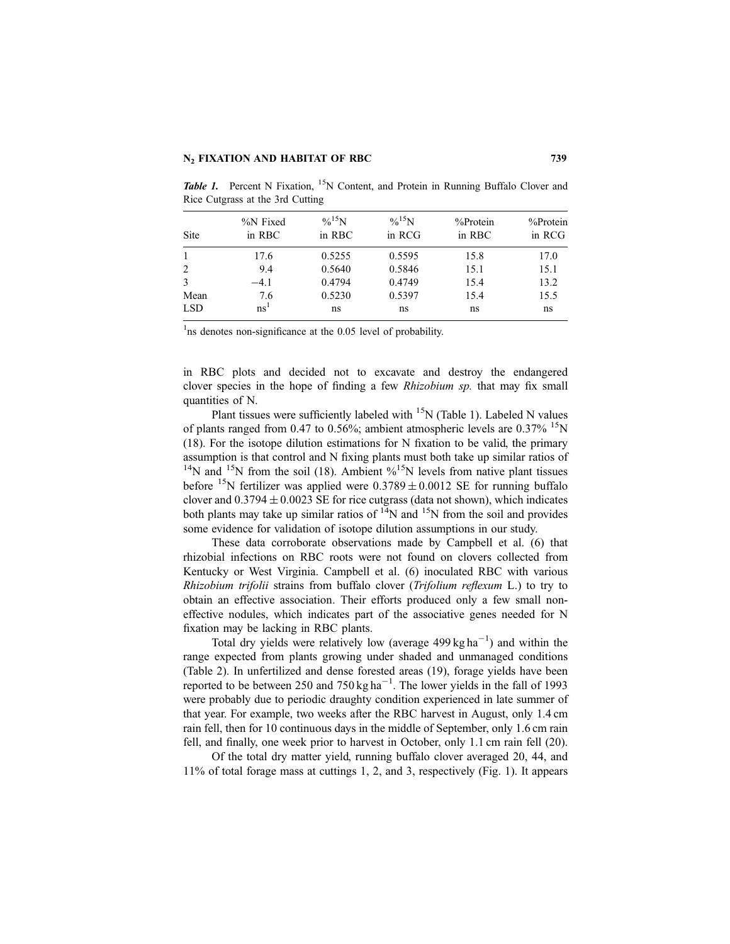| Site         | %N Fixed<br>in RBC | $\%^{15}N$<br>in RBC | $\%^{15}N$<br>in RCG | %Protein<br>in RBC | $%$ Protein<br>in RCG |
|--------------|--------------------|----------------------|----------------------|--------------------|-----------------------|
| $\mathbf{1}$ | 17.6               | 0.5255               | 0.5595               | 15.8               | 17.0                  |
| 2            | 9.4                | 0.5640               | 0.5846               | 15.1               | 15.1                  |
| 3            | $-4.1$             | 0.4794               | 0.4749               | 15.4               | 13.2                  |
| Mean         | 7.6                | 0.5230               | 0.5397               | 15.4               | 15.5                  |
| <b>LSD</b>   | ns <sup>1</sup>    | ns                   | ns                   | ns                 | ns                    |

**Table 1.** Percent N Fixation,  $^{15}N$  Content, and Protein in Running Buffalo Clover and Rice Cutgrass at the 3rd Cutting

<sup>1</sup>ns denotes non-significance at the 0.05 level of probability.

in RBC plots and decided not to excavate and destroy the endangered clover species in the hope of finding a few Rhizobium sp. that may fix small quantities of N.

Plant tissues were sufficiently labeled with  $15N$  (Table 1). Labeled N values of plants ranged from 0.47 to 0.56%; ambient atmospheric levels are  $0.37\%$  <sup>15</sup>N (18). For the isotope dilution estimations for N fixation to be valid, the primary assumption is that control and N fixing plants must both take up similar ratios of  $^{14}N$  and  $^{15}N$  from the soil (18). Ambient  $\%^{15}N$  levels from native plant tissues before <sup>15</sup>N fertilizer was applied were  $0.3789 \pm 0.0012$  SE for running buffalo clover and  $0.3794 \pm 0.0023$  SE for rice cutgrass (data not shown), which indicates both plants may take up similar ratios of  $14$ N and  $15$ N from the soil and provides some evidence for validation of isotope dilution assumptions in our study.

These data corroborate observations made by Campbell et al. (6) that rhizobial infections on RBC roots were not found on clovers collected from Kentucky or West Virginia. Campbell et al. (6) inoculated RBC with various Rhizobium trifolii strains from buffalo clover (Trifolium reflexum L.) to try to obtain an effective association. Their efforts produced only a few small noneffective nodules, which indicates part of the associative genes needed for N fixation may be lacking in RBC plants.

Total dry yields were relatively low (average  $499 \text{ kg ha}^{-1}$ ) and within the range expected from plants growing under shaded and unmanaged conditions (Table 2). In unfertilized and dense forested areas (19), forage yields have been reported to be between 250 and 750 kg ha<sup>-1</sup>. The lower yields in the fall of 1993 were probably due to periodic draughty condition experienced in late summer of that year. For example, two weeks after the RBC harvest in August, only 1.4 cm rain fell, then for 10 continuous days in the middle of September, only 1.6 cm rain fell, and finally, one week prior to harvest in October, only 1.1 cm rain fell (20).

Of the total dry matter yield, running buffalo clover averaged 20, 44, and 11% of total forage mass at cuttings 1, 2, and 3, respectively (Fig. 1). It appears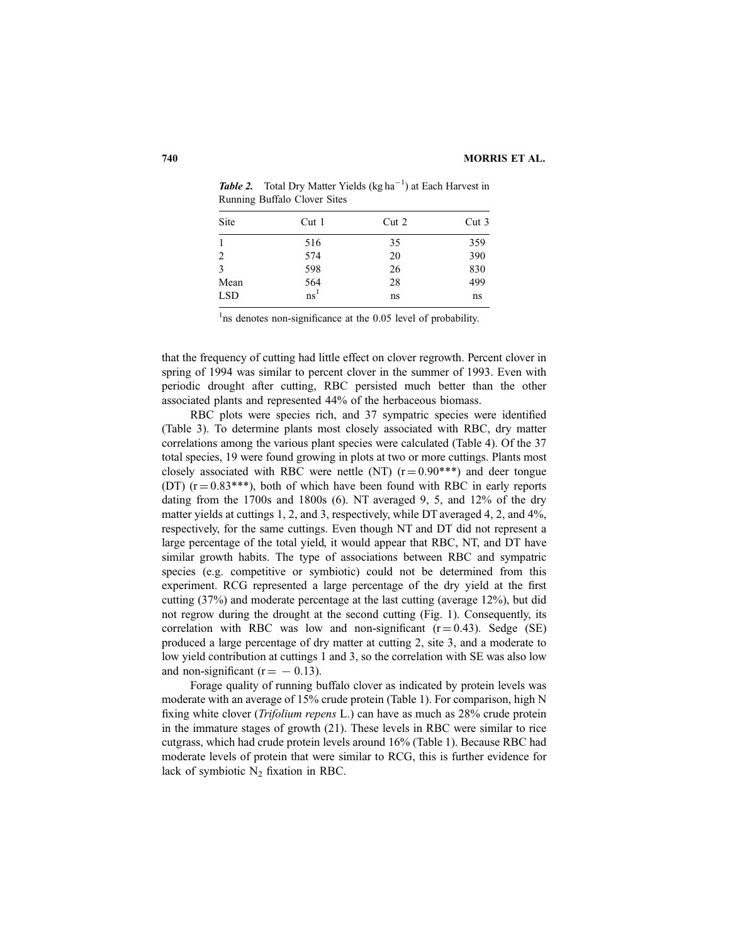| Site       | Cut <sub>1</sub> | Cut <sub>2</sub> | Cut <sub>3</sub> |  |
|------------|------------------|------------------|------------------|--|
|            | 516              | 35               | 359              |  |
| 2          | 574              | 20               | 390              |  |
| 3          | 598              | 26               | 830              |  |
| Mean       | 564              | 28               | 499              |  |
| <b>LSD</b> | $\mathrm{ns}^1$  | ns               | ns               |  |

**Table 2.** Total Dry Matter Yields  $(kg ha^{-1})$  at Each Harvest in Running Buffalo Clover Sites

<sup>1</sup>ns denotes non-significance at the 0.05 level of probability.

that the frequency of cutting had little effect on clover regrowth. Percent clover in spring of 1994 was similar to percent clover in the summer of 1993. Even with periodic drought after cutting, RBC persisted much better than the other associated plants and represented 44% of the herbaceous biomass.

RBC plots were species rich, and 37 sympatric species were identified (Table 3). To determine plants most closely associated with RBC, dry matter correlations among the various plant species were calculated (Table 4). Of the 37 total species, 19 were found growing in plots at two or more cuttings. Plants most closely associated with RBC were nettle (NT)  $(r = 0.90^{***})$  and deer tongue (DT)  $(r = 0.83***)$ , both of which have been found with RBC in early reports dating from the 1700s and 1800s (6). NT averaged 9, 5, and 12% of the dry matter yields at cuttings 1, 2, and 3, respectively, while DT averaged 4, 2, and 4%, respectively, for the same cuttings. Even though NT and DT did not represent a large percentage of the total yield, it would appear that RBC, NT, and DT have similar growth habits. The type of associations between RBC and sympatric species (e.g. competitive or symbiotic) could not be determined from this experiment. RCG represented a large percentage of the dry yield at the first cutting (37%) and moderate percentage at the last cutting (average 12%), but did not regrow during the drought at the second cutting (Fig. 1). Consequently, its correlation with RBC was low and non-significant  $(r = 0.43)$ . Sedge (SE) produced a large percentage of dry matter at cutting 2, site 3, and a moderate to low yield contribution at cuttings 1 and 3, so the correlation with SE was also low and non-significant ( $r = -0.13$ ).

Forage quality of running buffalo clover as indicated by protein levels was moderate with an average of 15% crude protein (Table 1). For comparison, high N fixing white clover (*Trifolium repens L*.) can have as much as 28% crude protein in the immature stages of growth (21). These levels in RBC were similar to rice cutgrass, which had crude protein levels around 16% (Table 1). Because RBC had moderate levels of protein that were similar to RCG, this is further evidence for lack of symbiotic  $N_2$  fixation in RBC.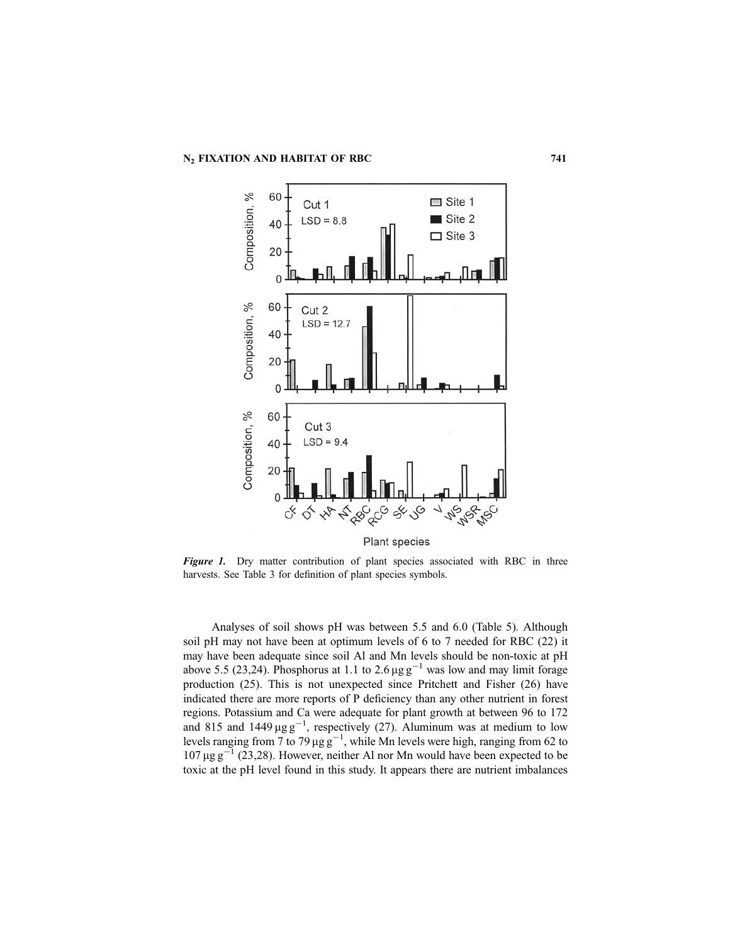

**Figure 1.** Dry matter contribution of plant species associated with RBC in three harvests. See Table 3 for definition of plant species symbols.

Analyses of soil shows pH was between 5.5 and 6.0 (Table 5). Although soil pH may not have been at optimum levels of 6 to 7 needed for RBC (22) it may have been adequate since soil Al and Mn levels should be non-toxic at pH above 5.5 (23,24). Phosphorus at 1.1 to 2.6  $\mu$ g g<sup>-1</sup> was low and may limit forage production (25). This is not unexpected since Pritchett and Fisher (26) have indicated there are more reports of P deficiency than any other nutrient in forest regions. Potassium and Ca were adequate for plant growth at between 96 to 172 and 815 and 1449  $\mu$ g g<sup>-1</sup>, respectively (27). Aluminum was at medium to low levels ranging from 7 to 79  $\mu$ g g<sup>-1</sup>, while Mn levels were high, ranging from 62 to  $107 \,\mu g\,g^{-1}$  (23,28). However, neither Al nor Mn would have been expected to be toxic at the pH level found in this study. It appears there are nutrient imbalances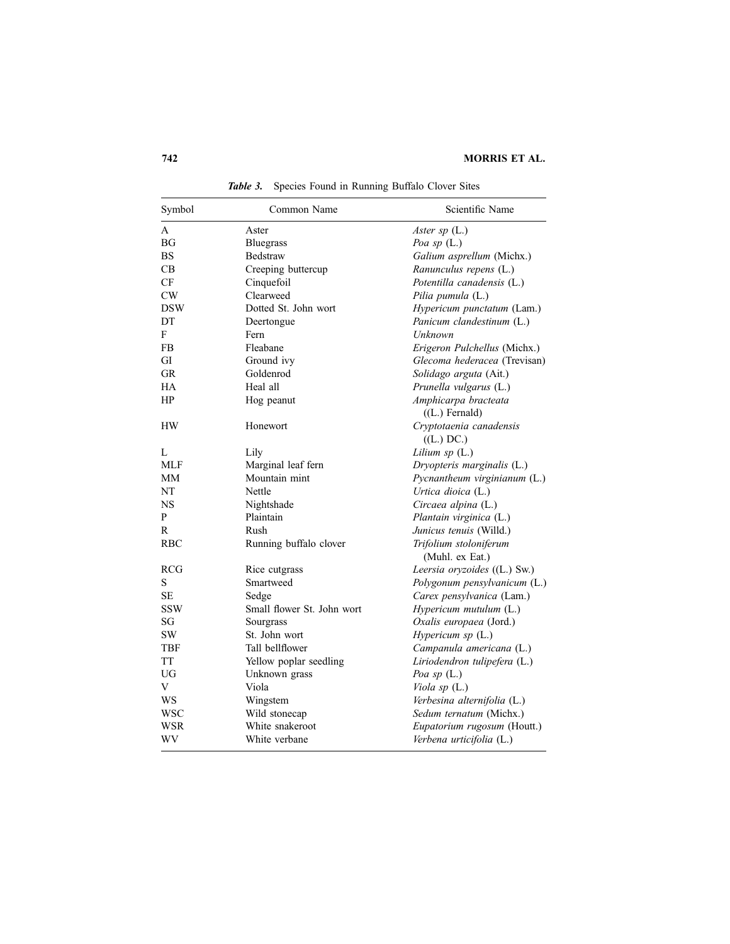| Symbol     | Common Name                | Scientific Name                           |
|------------|----------------------------|-------------------------------------------|
| A          | Aster                      | Aster sp $(L.)$                           |
| BG         | <b>Bluegrass</b>           | Poa sp $(L.)$                             |
| <b>BS</b>  | Bedstraw                   | Galium asprellum (Michx.)                 |
| CВ         | Creeping buttercup         | Ranunculus repens (L.)                    |
| CF         | Cinquefoil                 | Potentilla canadensis (L.)                |
| CW         | Clearweed                  | Pilia pumula (L.)                         |
| <b>DSW</b> | Dotted St. John wort       | Hypericum punctatum (Lam.)                |
| DT         | Deertongue                 | Panicum clandestinum (L.)                 |
| F          | Fern                       | Unknown                                   |
| FB         | Fleabane                   | Erigeron Pulchellus (Michx.)              |
| GI         | Ground ivy                 | Glecoma hederacea (Trevisan)              |
| <b>GR</b>  | Goldenrod                  | Solidago arguta (Ait.)                    |
| <b>HA</b>  | Heal all                   | Prunella vulgarus (L.)                    |
| HP         | Hog peanut                 | Amphicarpa bracteata<br>$( (L.)$ Fernald) |
| <b>HW</b>  | Honewort                   | Cryptotaenia canadensis<br>((L.) DC.)     |
| L          | Lily                       | Lilium $sp(L.)$                           |
| <b>MLF</b> | Marginal leaf fern         | Dryopteris marginalis (L.)                |
| MM         | Mountain mint              | Pycnantheum virginianum (L.)              |
| NT         | Nettle                     | Urtica dioica (L.)                        |
| <b>NS</b>  | Nightshade                 | Circaea alpina (L.)                       |
| P          | Plaintain                  | Plantain virginica (L.)                   |
| R          | Rush                       | Junicus tenuis (Willd.)                   |
| <b>RBC</b> | Running buffalo clover     | Trifolium stoloniferum<br>(Muhl. ex Eat.) |
| <b>RCG</b> | Rice cutgrass              | Leersia oryzoides ((L.) Sw.)              |
| S          | Smartweed                  | Polygonum pensylvanicum (L.)              |
| SE         | Sedge                      | Carex pensylvanica (Lam.)                 |
| <b>SSW</b> | Small flower St. John wort | $Hypericum$ mutulum $(L.)$                |
| SG         | Sourgrass                  | Oxalis europaea (Jord.)                   |
| <b>SW</b>  | St. John wort              | Hypericum sp (L.)                         |
| TBF        | Tall bellflower            | Campanula americana (L.)                  |
| TT         | Yellow poplar seedling     | Liriodendron tulipefera (L.)              |
| UG         | Unknown grass              | Poa sp $(L.)$                             |
| V          | Viola                      | Viola sp (L.)                             |
| WS         | Wingstem                   | Verbesina alternifolia (L.)               |
| <b>WSC</b> | Wild stonecap              | Sedum ternatum (Michx.)                   |
| WSR        | White snakeroot            | Eupatorium rugosum (Houtt.)               |
| WV         | White verbane              | Verbena urticifolia (L.)                  |

Table 3. Species Found in Running Buffalo Clover Sites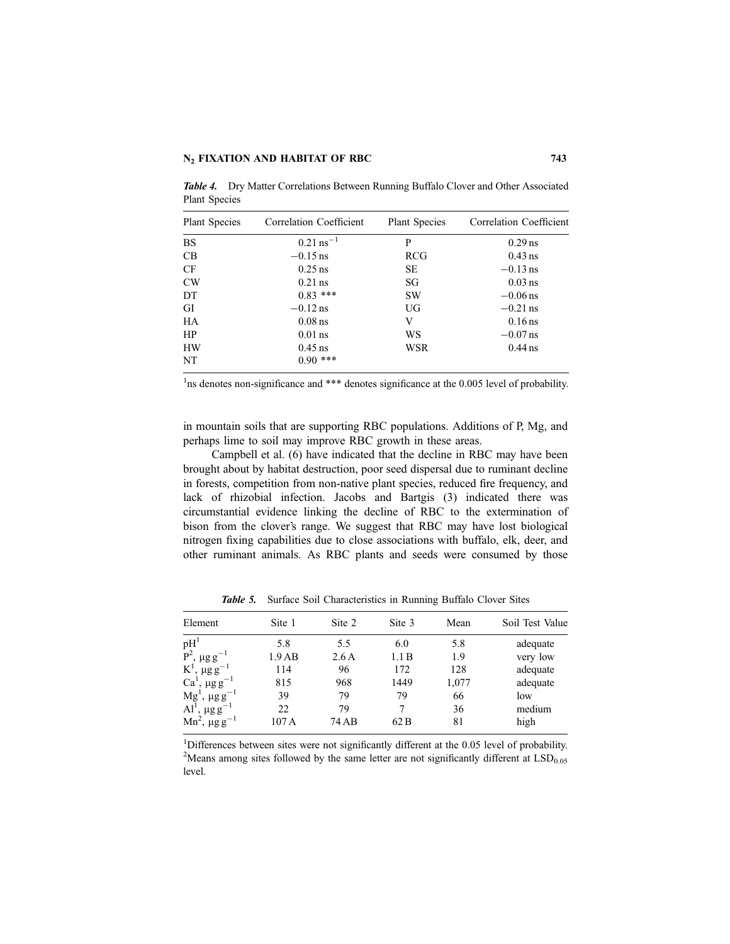| <b>Plant Species</b> | Correlation Coefficient | <b>Plant Species</b> | Correlation Coefficient |
|----------------------|-------------------------|----------------------|-------------------------|
| <b>BS</b>            | $0.21$ ns <sup>-1</sup> | P                    | $0.29$ ns               |
| CB                   | $-0.15$ ns              | RCG                  | $0.43$ ns               |
| CF                   | $0.25$ ns               | <b>SE</b>            | $-0.13$ ns              |
| CW                   | $0.21$ ns               | SG                   | $0.03$ ns               |
| DT                   | $0.83$ ***              | <b>SW</b>            | $-0.06$ ns              |
| GI                   | $-0.12$ ns              | UG                   | $-0.21$ ns              |
| HA                   | $0.08$ ns               | V                    | $0.16$ ns               |
| HP                   | $0.01$ ns               | WS                   | $-0.07$ ns              |
| <b>HW</b>            | $0.45$ ns               | WSR                  | $0.44$ ns               |
| NT                   | $0.90$ ***              |                      |                         |

**Table 4.** Dry Matter Correlations Between Running Buffalo Clover and Other Associated Plant Species

<sup>1</sup>ns denotes non-significance and \*\*\* denotes significance at the 0.005 level of probability.

in mountain soils that are supporting RBC populations. Additions of P, Mg, and perhaps lime to soil may improve RBC growth in these areas.

Campbell et al. (6) have indicated that the decline in RBC may have been brought about by habitat destruction, poor seed dispersal due to ruminant decline in forests, competition from non-native plant species, reduced fire frequency, and lack of rhizobial infection. Jacobs and Bartgis (3) indicated there was circumstantial evidence linking the decline of RBC to the extermination of bison from the clover's range. We suggest that RBC may have lost biological nitrogen fixing capabilities due to close associations with buffalo, elk, deer, and other ruminant animals. As RBC plants and seeds were consumed by those

| Element                                   | Site 1 | Site 2 | Site 3 | Mean  | Soil Test Value |
|-------------------------------------------|--------|--------|--------|-------|-----------------|
| pH <sup>1</sup>                           | 5.8    | 5.5    | 6.0    | 5.8   | adequate        |
| $P^2$ , $\mu$ g g <sup>-1</sup>           | 1.9AB  | 2.6A   | 1.1 B  | 1.9   | very low        |
| $K^1$ , $\mu$ g g <sup>-1</sup>           | 114    | 96     | 172    | 128   | adequate        |
| Ca <sup>1</sup> , $\mu$ g g <sup>-1</sup> | 815    | 968    | 1449   | 1,077 | adequate        |
| $Mg^{1}$ , $\mu g g^{-1}$                 | 39     | 79     | 79     | 66    | low             |
| Al <sup>1</sup> , $\mu$ g g <sup>-1</sup> | 22     | 79     |        | 36    | medium          |
| Mn <sup>2</sup> , $\mu$ g g <sup>-1</sup> | 107A   | 74 AB  | 62 B   | 81    | high            |

Table 5. Surface Soil Characteristics in Running Buffalo Clover Sites

<sup>1</sup>Differences between sites were not significantly different at the 0.05 level of probability.<br><sup>2</sup>Means among sites followed by the same letter are not significantly different at  $ISD$ <sup>2</sup>Means among sites followed by the same letter are not significantly different at  $LSD<sub>0.05</sub>$ level.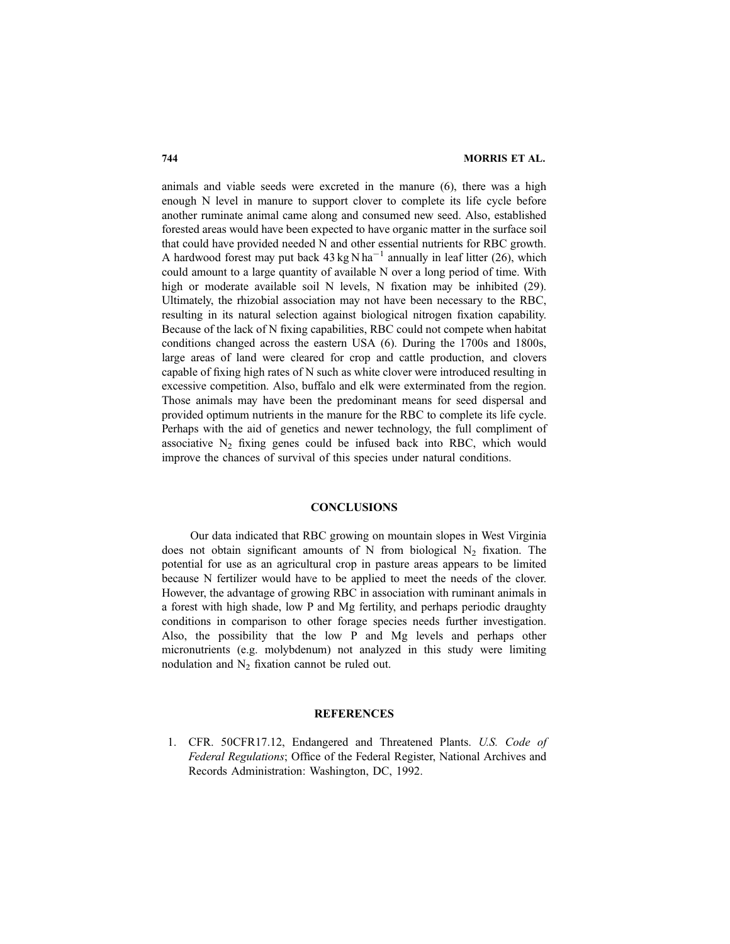animals and viable seeds were excreted in the manure (6), there was a high enough N level in manure to support clover to complete its life cycle before another ruminate animal came along and consumed new seed. Also, established forested areas would have been expected to have organic matter in the surface soil that could have provided needed N and other essential nutrients for RBC growth. A hardwood forest may put back  $43 \text{ kg N} \text{ ha}^{-1}$  annually in leaf litter (26), which could amount to a large quantity of available N over a long period of time. With high or moderate available soil N levels, N fixation may be inhibited (29). Ultimately, the rhizobial association may not have been necessary to the RBC, resulting in its natural selection against biological nitrogen fixation capability. Because of the lack of N fixing capabilities, RBC could not compete when habitat conditions changed across the eastern USA (6). During the 1700s and 1800s, large areas of land were cleared for crop and cattle production, and clovers capable of fixing high rates of N such as white clover were introduced resulting in excessive competition. Also, buffalo and elk were exterminated from the region. Those animals may have been the predominant means for seed dispersal and provided optimum nutrients in the manure for the RBC to complete its life cycle. Perhaps with the aid of genetics and newer technology, the full compliment of associative  $N<sub>2</sub>$  fixing genes could be infused back into RBC, which would improve the chances of survival of this species under natural conditions.

#### **CONCLUSIONS**

Our data indicated that RBC growing on mountain slopes in West Virginia does not obtain significant amounts of N from biological  $N_2$  fixation. The potential for use as an agricultural crop in pasture areas appears to be limited because N fertilizer would have to be applied to meet the needs of the clover. However, the advantage of growing RBC in association with ruminant animals in a forest with high shade, low P and Mg fertility, and perhaps periodic draughty conditions in comparison to other forage species needs further investigation. Also, the possibility that the low P and Mg levels and perhaps other micronutrients (e.g. molybdenum) not analyzed in this study were limiting nodulation and  $N_2$  fixation cannot be ruled out.

#### **REFERENCES**

1. CFR. 50CFR17.12, Endangered and Threatened Plants. U.S. Code of Federal Regulations; Office of the Federal Register, National Archives and Records Administration: Washington, DC, 1992.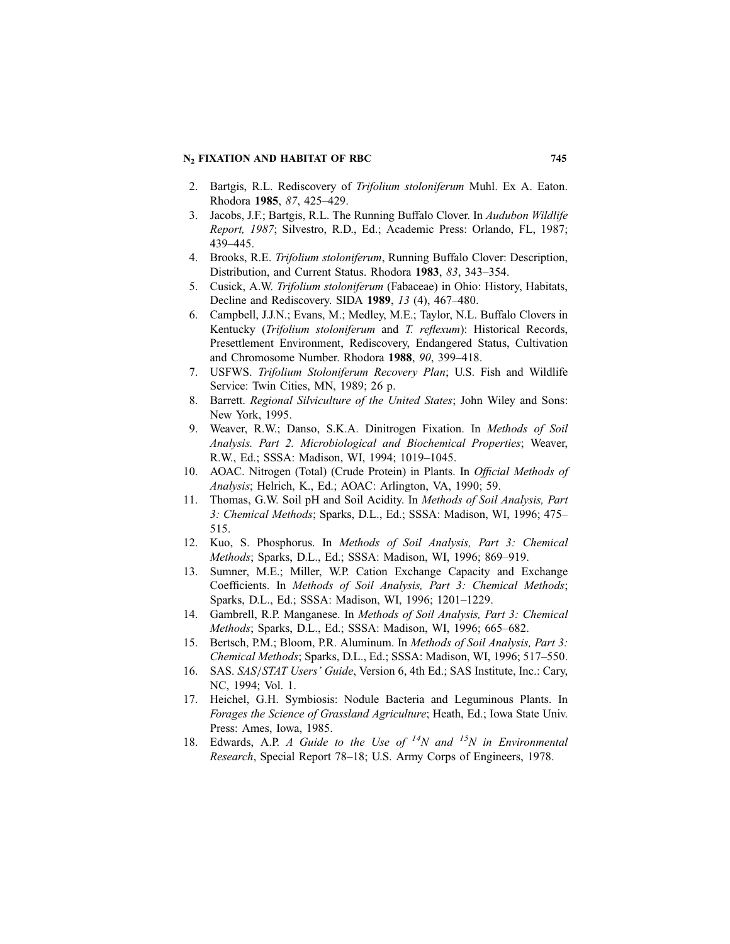#### N<sub>2</sub> FIXATION AND HABITAT OF RBC 745

- 2. Bartgis, R.L. Rediscovery of Trifolium stoloniferum Muhl. Ex A. Eaton. Rhodora 1985, 87, 425–429.
- 3. Jacobs, J.F.; Bartgis, R.L. The Running Buffalo Clover. In Audubon Wildlife Report, 1987; Silvestro, R.D., Ed.; Academic Press: Orlando, FL, 1987; 439–445.
- 4. Brooks, R.E. Trifolium stoloniferum, Running Buffalo Clover: Description, Distribution, and Current Status. Rhodora 1983, 83, 343–354.
- 5. Cusick, A.W. Trifolium stoloniferum (Fabaceae) in Ohio: History, Habitats, Decline and Rediscovery. SIDA 1989, 13 (4), 467–480.
- 6. Campbell, J.J.N.; Evans, M.; Medley, M.E.; Taylor, N.L. Buffalo Clovers in Kentucky (Trifolium stoloniferum and T. reflexum): Historical Records, Presettlement Environment, Rediscovery, Endangered Status, Cultivation and Chromosome Number. Rhodora 1988, 90, 399–418.
- 7. USFWS. Trifolium Stoloniferum Recovery Plan; U.S. Fish and Wildlife Service: Twin Cities, MN, 1989; 26 p.
- 8. Barrett. Regional Silviculture of the United States; John Wiley and Sons: New York, 1995.
- 9. Weaver, R.W.; Danso, S.K.A. Dinitrogen Fixation. In Methods of Soil Analysis. Part 2. Microbiological and Biochemical Properties; Weaver, R.W., Ed.; SSSA: Madison, WI, 1994; 1019–1045.
- 10. AOAC. Nitrogen (Total) (Crude Protein) in Plants. In Official Methods of Analysis; Helrich, K., Ed.; AOAC: Arlington, VA, 1990; 59.
- 11. Thomas, G.W. Soil pH and Soil Acidity. In Methods of Soil Analysis, Part 3: Chemical Methods; Sparks, D.L., Ed.; SSSA: Madison, WI, 1996; 475– 515.
- 12. Kuo, S. Phosphorus. In Methods of Soil Analysis, Part 3: Chemical Methods; Sparks, D.L., Ed.; SSSA: Madison, WI, 1996; 869–919.
- 13. Sumner, M.E.; Miller, W.P. Cation Exchange Capacity and Exchange Coefficients. In Methods of Soil Analysis, Part 3: Chemical Methods; Sparks, D.L., Ed.; SSSA: Madison, WI, 1996; 1201–1229.
- 14. Gambrell, R.P. Manganese. In Methods of Soil Analysis, Part 3: Chemical Methods; Sparks, D.L., Ed.; SSSA: Madison, WI, 1996; 665–682.
- 15. Bertsch, P.M.; Bloom, P.R. Aluminum. In Methods of Soil Analysis, Part 3: Chemical Methods; Sparks, D.L., Ed.; SSSA: Madison, WI, 1996; 517–550.
- 16. SAS. SAS/STAT Users' Guide, Version 6, 4th Ed.; SAS Institute, Inc.: Cary, NC, 1994; Vol. 1.
- 17. Heichel, G.H. Symbiosis: Nodule Bacteria and Leguminous Plants. In Forages the Science of Grassland Agriculture; Heath, Ed.; Iowa State Univ. Press: Ames, Iowa, 1985.
- 18. Edwards, A.P. A Guide to the Use of  $^{14}N$  and  $^{15}N$  in Environmental Research, Special Report 78–18; U.S. Army Corps of Engineers, 1978.